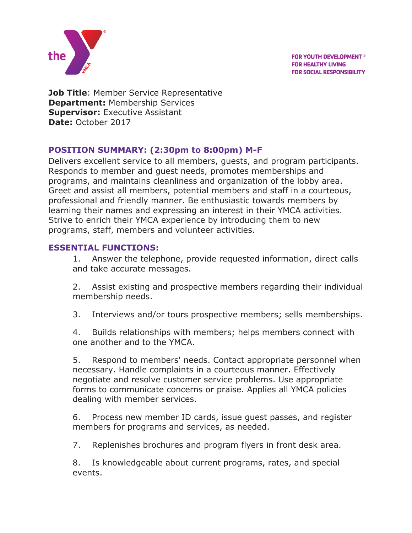

**FOR YOUTH DEVELOPMENT<sup>®</sup> FOR HEALTHY LIVING FOR SOCIAL RESPONSIBILITY** 

**Job Title: Member Service Representative Department:** Membership Services **Supervisor: Executive Assistant Date:** October 2017

## **POSITION SUMMARY: (2:30pm to 8:00pm) M-F**

Delivers excellent service to all members, guests, and program participants. Responds to member and guest needs, promotes memberships and programs, and maintains cleanliness and organization of the lobby area. Greet and assist all members, potential members and staff in a courteous, professional and friendly manner. Be enthusiastic towards members by learning their names and expressing an interest in their YMCA activities. Strive to enrich their YMCA experience by introducing them to new programs, staff, members and volunteer activities.

## **ESSENTIAL FUNCTIONS:**

1. Answer the telephone, provide requested information, direct calls and take accurate messages.

2. Assist existing and prospective members regarding their individual membership needs.

3. Interviews and/or tours prospective members; sells memberships.

4. Builds relationships with members; helps members connect with one another and to the YMCA.

5. Respond to members' needs. Contact appropriate personnel when necessary. Handle complaints in a courteous manner. Effectively negotiate and resolve customer service problems. Use appropriate forms to communicate concerns or praise. Applies all YMCA policies dealing with member services.

6. Process new member ID cards, issue guest passes, and register members for programs and services, as needed.

7. Replenishes brochures and program flyers in front desk area.

8. Is knowledgeable about current programs, rates, and special events.